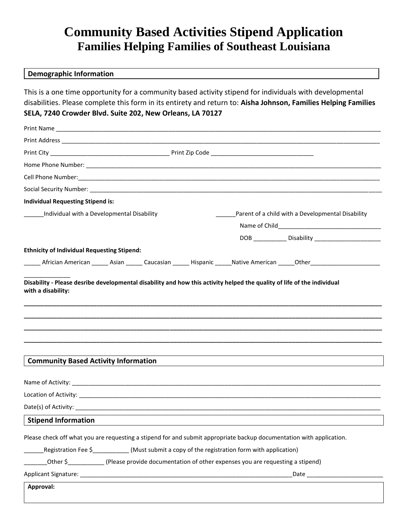## **Community Based Activities Stipend Application Families Helping Families of Southeast Louisiana**

## **Demographic Information**

This is a one time opportunity for a community based activity stipend for individuals with developmental disabilities. Please complete this form in its entirety and return to: **Aisha Johnson, Families Helping Families SELA, 7240 Crowder Blvd. Suite 202, New Orleans, LA 70127**

| <b>Individual Requesting Stipend is:</b>                                                                                                                                                                                                                                                                       |                                                   |  |  |
|----------------------------------------------------------------------------------------------------------------------------------------------------------------------------------------------------------------------------------------------------------------------------------------------------------------|---------------------------------------------------|--|--|
| Individual with a Developmental Disability                                                                                                                                                                                                                                                                     | Parent of a child with a Developmental Disability |  |  |
|                                                                                                                                                                                                                                                                                                                |                                                   |  |  |
|                                                                                                                                                                                                                                                                                                                |                                                   |  |  |
| <b>Ethnicity of Individual Requesting Stipend:</b>                                                                                                                                                                                                                                                             |                                                   |  |  |
| _______ Africian American _______ Asian ______ Caucasian _______ Hispanic ______Native American ______Other____________________________                                                                                                                                                                        |                                                   |  |  |
| <b>Community Based Activity Information</b>                                                                                                                                                                                                                                                                    |                                                   |  |  |
|                                                                                                                                                                                                                                                                                                                |                                                   |  |  |
|                                                                                                                                                                                                                                                                                                                |                                                   |  |  |
|                                                                                                                                                                                                                                                                                                                |                                                   |  |  |
|                                                                                                                                                                                                                                                                                                                |                                                   |  |  |
| <b>Stipend Information</b>                                                                                                                                                                                                                                                                                     |                                                   |  |  |
| Please check off what you are requesting a stipend for and submit appropriate backup documentation with application.<br>Registration Fee \$___________(Must submit a copy of the registration form with application)<br>Other \$ (Please provide documentation of other expenses you are requesting a stipend) |                                                   |  |  |
| Approval:                                                                                                                                                                                                                                                                                                      |                                                   |  |  |
|                                                                                                                                                                                                                                                                                                                |                                                   |  |  |